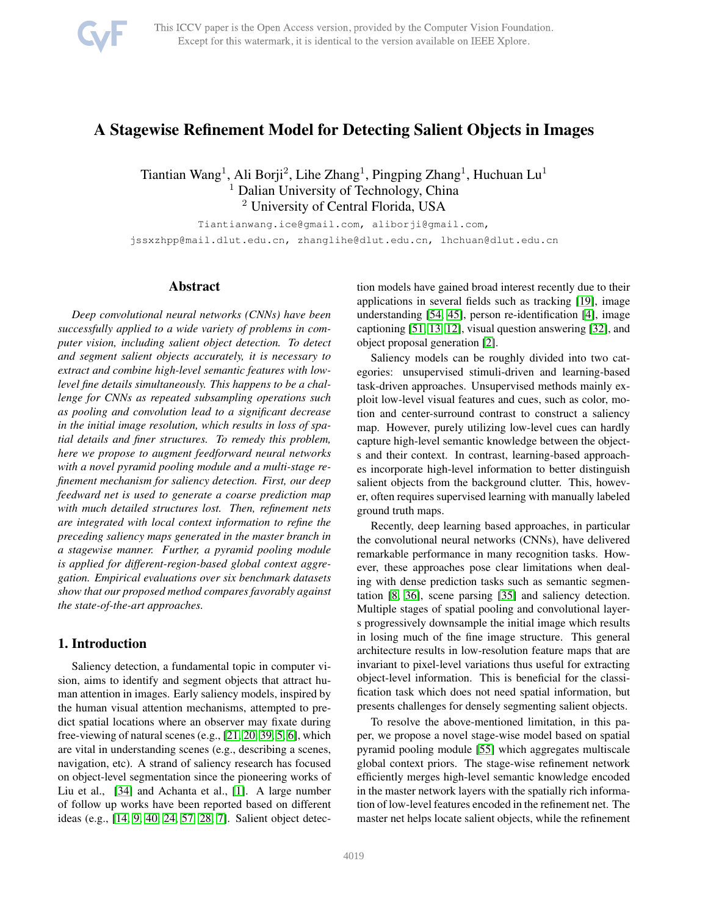

# A Stagewise Refinement Model for Detecting Salient Objects in Images

Tiantian Wang<sup>1</sup>, Ali Borji<sup>2</sup>, Lihe Zhang<sup>1</sup>, Pingping Zhang<sup>1</sup>, Huchuan Lu<sup>1</sup> <sup>1</sup> Dalian University of Technology, China <sup>2</sup> University of Central Florida, USA

Tiantianwang.ice@gmail.com, aliborji@gmail.com,

jssxzhpp@mail.dlut.edu.cn, zhanglihe@dlut.edu.cn, lhchuan@dlut.edu.cn

# Abstract

*Deep convolutional neural networks (CNNs) have been successfully applied to a wide variety of problems in computer vision, including salient object detection. To detect and segment salient objects accurately, it is necessary to extract and combine high-level semantic features with lowlevel fine details simultaneously. This happens to be a challenge for CNNs as repeated subsampling operations such as pooling and convolution lead to a significant decrease in the initial image resolution, which results in loss of spatial details and finer structures. To remedy this problem, here we propose to augment feedforward neural networks with a novel pyramid pooling module and a multi-stage refinement mechanism for saliency detection. First, our deep feedward net is used to generate a coarse prediction map with much detailed structures lost. Then, refinement nets are integrated with local context information to refine the preceding saliency maps generated in the master branch in a stagewise manner. Further, a pyramid pooling module is applied for different-region-based global context aggregation. Empirical evaluations over six benchmark datasets show that our proposed method compares favorably against the state-of-the-art approaches.*

# 1. Introduction

Saliency detection, a fundamental topic in computer vision, aims to identify and segment objects that attract human attention in images. Early saliency models, inspired by the human visual attention mechanisms, attempted to predict spatial locations where an observer may fixate during free-viewing of natural scenes (e.g., [\[21,](#page-8-0) [20,](#page-8-1) [39,](#page-8-2) [5,](#page-8-3) [6\]](#page-8-4), which are vital in understanding scenes (e.g., describing a scenes, navigation, etc). A strand of saliency research has focused on object-level segmentation since the pioneering works of Liu et al., [\[34\]](#page-8-5) and Achanta et al., [\[1\]](#page-7-0). A large number of follow up works have been reported based on different ideas (e.g., [\[14,](#page-8-6) [9,](#page-8-7) [40,](#page-8-8) [24,](#page-8-9) [57,](#page-9-0) [28,](#page-8-10) [7\]](#page-8-11). Salient object detection models have gained broad interest recently due to their applications in several fields such as tracking [\[19\]](#page-8-12), image understanding [\[54,](#page-9-1) [45\]](#page-9-2), person re-identification [\[4\]](#page-8-13), image captioning [\[51,](#page-9-3) [13,](#page-8-14) [12\]](#page-8-15), visual question answering [\[32\]](#page-8-16), and object proposal generation [\[2\]](#page-8-17).

Saliency models can be roughly divided into two categories: unsupervised stimuli-driven and learning-based task-driven approaches. Unsupervised methods mainly exploit low-level visual features and cues, such as color, motion and center-surround contrast to construct a saliency map. However, purely utilizing low-level cues can hardly capture high-level semantic knowledge between the objects and their context. In contrast, learning-based approaches incorporate high-level information to better distinguish salient objects from the background clutter. This, however, often requires supervised learning with manually labeled ground truth maps.

Recently, deep learning based approaches, in particular the convolutional neural networks (CNNs), have delivered remarkable performance in many recognition tasks. However, these approaches pose clear limitations when dealing with dense prediction tasks such as semantic segmentation [\[8,](#page-8-18) [36\]](#page-8-19), scene parsing [\[35\]](#page-8-20) and saliency detection. Multiple stages of spatial pooling and convolutional layers progressively downsample the initial image which results in losing much of the fine image structure. This general architecture results in low-resolution feature maps that are invariant to pixel-level variations thus useful for extracting object-level information. This is beneficial for the classification task which does not need spatial information, but presents challenges for densely segmenting salient objects.

To resolve the above-mentioned limitation, in this paper, we propose a novel stage-wise model based on spatial pyramid pooling module [\[55\]](#page-9-4) which aggregates multiscale global context priors. The stage-wise refinement network efficiently merges high-level semantic knowledge encoded in the master network layers with the spatially rich information of low-level features encoded in the refinement net. The master net helps locate salient objects, while the refinement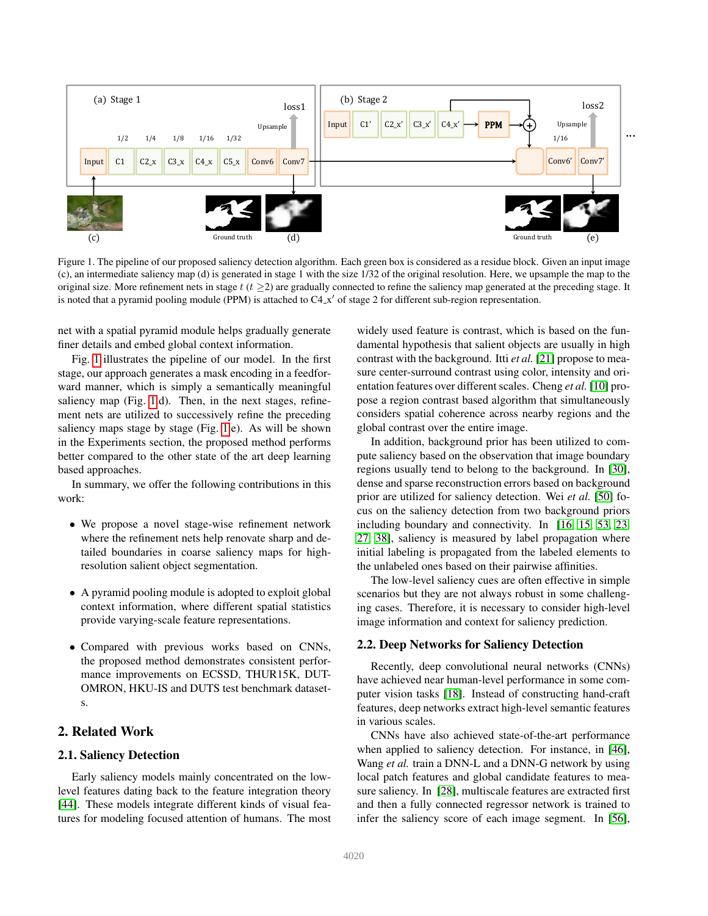

<span id="page-1-0"></span>Figure 1. The pipeline of our proposed saliency detection algorithm. Each green box is considered as a residue block. Given an input image (c), an intermediate saliency map (d) is generated in stage 1 with the size 1/32 of the original resolution. Here, we upsample the map to the original size. More refinement nets in stage  $t$  ( $t \geq 2$ ) are gradually connected to refine the saliency map generated at the preceding stage. It is noted that a pyramid pooling module (PPM) is attached to C4\_x' of stage 2 for different sub-region representation.

net with a spatial pyramid module helps gradually generate finer details and embed global context information.

Fig. [1](#page-1-0) illustrates the pipeline of our model. In the first stage, our approach generates a mask encoding in a feedforward manner, which is simply a semantically meaningful saliency map (Fig. [1.](#page-1-0)d). Then, in the next stages, refinement nets are utilized to successively refine the preceding saliency maps stage by stage (Fig. [1.](#page-1-0)e). As will be shown in the Experiments section, the proposed method performs better compared to the other state of the art deep learning based approaches.

In summary, we offer the following contributions in this work:

- We propose a novel stage-wise refinement network where the refinement nets help renovate sharp and detailed boundaries in coarse saliency maps for highresolution salient object segmentation.
- A pyramid pooling module is adopted to exploit global context information, where different spatial statistics provide varying-scale feature representations.
- Compared with previous works based on CNNs, the proposed method demonstrates consistent performance improvements on ECSSD, THUR15K, DUT-OMRON, HKU-IS and DUTS test benchmark datasets.

# 2. Related Work

### 2.1. Saliency Detection

Early saliency models mainly concentrated on the lowlevel features dating back to the feature integration theory [\[44\]](#page-9-5). These models integrate different kinds of visual features for modeling focused attention of humans. The most

global contrast over the entire image. widely used feature is contrast, which is based on the fundamental hypothesis that salient objects are usually in high contrast with the background. Itti *et al.* [\[21\]](#page-8-0) propose to measure center-surround contrast using color, intensity and orientation features over different scales. Cheng *et al.* [\[10\]](#page-8-21) propose a region contrast based algorithm that simultaneously considers spatial coherence across nearby regions and the

In addition, background prior has been utilized to compute saliency based on the observation that image boundary regions usually tend to belong to the background. In [\[30\]](#page-8-22), dense and sparse reconstruction errors based on background prior are utilized for saliency detection. Wei *et al.* [\[50\]](#page-9-6) focus on the saliency detection from two background priors including boundary and connectivity. In [\[16,](#page-8-23) [15,](#page-8-24) [53,](#page-9-7) [23,](#page-8-25) [27,](#page-8-26) [38\]](#page-8-27), saliency is measured by label propagation where initial labeling is propagated from the labeled elements to the unlabeled ones based on their pairwise affinities.

The low-level saliency cues are often effective in simple scenarios but they are not always robust in some challenging cases. Therefore, it is necessary to consider high-level image information and context for saliency prediction.

#### 2.2. Deep Networks for Saliency Detection

Recently, deep convolutional neural networks (CNNs) have achieved near human-level performance in some computer vision tasks [\[18\]](#page-8-28). Instead of constructing hand-craft features, deep networks extract high-level semantic features in various scales.

CNNs have also achieved state-of-the-art performance when applied to saliency detection. For instance, in [\[46\]](#page-9-8), Wang *et al.* train a DNN-L and a DNN-G network by using local patch features and global candidate features to measure saliency. In [\[28\]](#page-8-10), multiscale features are extracted first and then a fully connected regressor network is trained to infer the saliency score of each image segment. In [\[56\]](#page-9-9),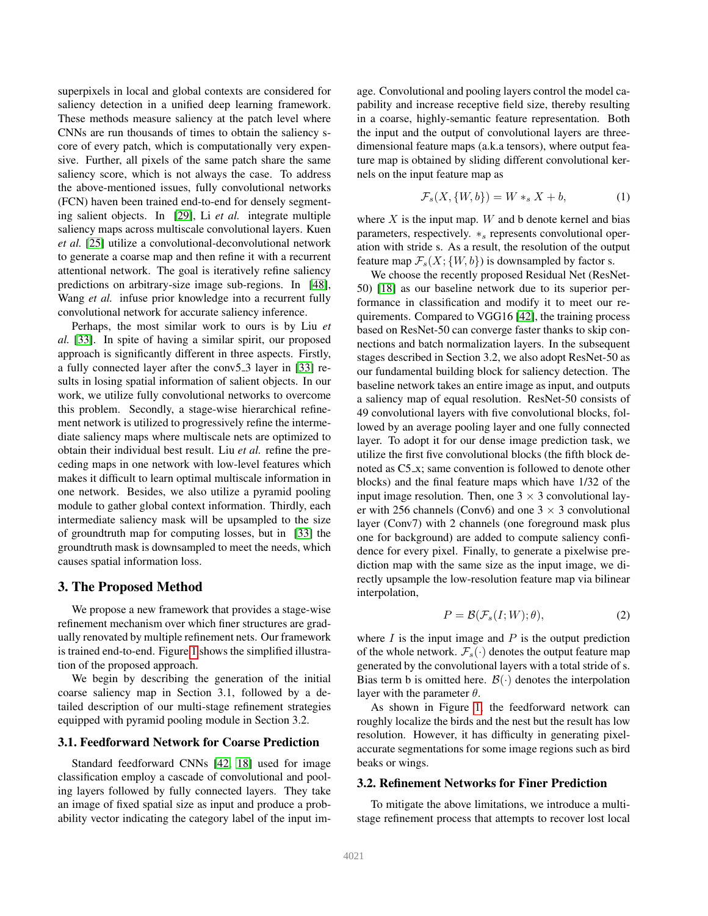superpixels in local and global contexts are considered for saliency detection in a unified deep learning framework. These methods measure saliency at the patch level where CNNs are run thousands of times to obtain the saliency score of every patch, which is computationally very expensive. Further, all pixels of the same patch share the same saliency score, which is not always the case. To address the above-mentioned issues, fully convolutional networks (FCN) haven been trained end-to-end for densely segmenting salient objects. In [\[29\]](#page-8-29), Li *et al.* integrate multiple saliency maps across multiscale convolutional layers. Kuen *et al.* [\[25\]](#page-8-30) utilize a convolutional-deconvolutional network to generate a coarse map and then refine it with a recurrent attentional network. The goal is iteratively refine saliency predictions on arbitrary-size image sub-regions. In [\[48\]](#page-9-10), Wang *et al.* infuse prior knowledge into a recurrent fully convolutional network for accurate saliency inference.

Perhaps, the most similar work to ours is by Liu *et al.* [\[33\]](#page-8-31). In spite of having a similar spirit, our proposed approach is significantly different in three aspects. Firstly, a fully connected layer after the conv5 3 layer in [\[33\]](#page-8-31) results in losing spatial information of salient objects. In our work, we utilize fully convolutional networks to overcome this problem. Secondly, a stage-wise hierarchical refinement network is utilized to progressively refine the intermediate saliency maps where multiscale nets are optimized to obtain their individual best result. Liu *et al.* refine the preceding maps in one network with low-level features which makes it difficult to learn optimal multiscale information in one network. Besides, we also utilize a pyramid pooling module to gather global context information. Thirdly, each intermediate saliency mask will be upsampled to the size of groundtruth map for computing losses, but in [\[33\]](#page-8-31) the groundtruth mask is downsampled to meet the needs, which causes spatial information loss.

#### 3. The Proposed Method

We propose a new framework that provides a stage-wise refinement mechanism over which finer structures are gradually renovated by multiple refinement nets. Our framework is trained end-to-end. Figure [1](#page-1-0) shows the simplified illustration of the proposed approach.

We begin by describing the generation of the initial coarse saliency map in Section 3.1, followed by a detailed description of our multi-stage refinement strategies equipped with pyramid pooling module in Section 3.2.

### 3.1. Feedforward Network for Coarse Prediction

Standard feedforward CNNs [\[42,](#page-9-11) [18\]](#page-8-28) used for image classification employ a cascade of convolutional and pooling layers followed by fully connected layers. They take an image of fixed spatial size as input and produce a probability vector indicating the category label of the input image. Convolutional and pooling layers control the model capability and increase receptive field size, thereby resulting in a coarse, highly-semantic feature representation. Both the input and the output of convolutional layers are threedimensional feature maps (a.k.a tensors), where output feature map is obtained by sliding different convolutional kernels on the input feature map as

$$
\mathcal{F}_s(X, \{W, b\}) = W *_{s} X + b,\tag{1}
$$

where  $X$  is the input map.  $W$  and b denote kernel and bias parameters, respectively.  $*_s$  represents convolutional operation with stride s. As a result, the resolution of the output feature map  $\mathcal{F}_s(X; \{W, b\})$  is downsampled by factor s.

We choose the recently proposed Residual Net (ResNet-50) [\[18\]](#page-8-28) as our baseline network due to its superior performance in classification and modify it to meet our requirements. Compared to VGG16 [\[42\]](#page-9-11), the training process based on ResNet-50 can converge faster thanks to skip connections and batch normalization layers. In the subsequent stages described in Section 3.2, we also adopt ResNet-50 as our fundamental building block for saliency detection. The baseline network takes an entire image as input, and outputs a saliency map of equal resolution. ResNet-50 consists of 49 convolutional layers with five convolutional blocks, followed by an average pooling layer and one fully connected layer. To adopt it for our dense image prediction task, we utilize the first five convolutional blocks (the fifth block denoted as C5 x; same convention is followed to denote other blocks) and the final feature maps which have 1/32 of the input image resolution. Then, one  $3 \times 3$  convolutional layer with 256 channels (Conv6) and one  $3 \times 3$  convolutional layer (Conv7) with 2 channels (one foreground mask plus one for background) are added to compute saliency confidence for every pixel. Finally, to generate a pixelwise prediction map with the same size as the input image, we directly upsample the low-resolution feature map via bilinear interpolation,

$$
P = \mathcal{B}(\mathcal{F}_s(I;W); \theta),\tag{2}
$$

where  $I$  is the input image and  $P$  is the output prediction of the whole network.  $\mathcal{F}_s(\cdot)$  denotes the output feature map generated by the convolutional layers with a total stride of s. Bias term b is omitted here.  $\mathcal{B}(\cdot)$  denotes the interpolation layer with the parameter  $\theta$ .

As shown in Figure [1,](#page-1-0) the feedforward network can roughly localize the birds and the nest but the result has low resolution. However, it has difficulty in generating pixelaccurate segmentations for some image regions such as bird beaks or wings.

#### 3.2. Refinement Networks for Finer Prediction

To mitigate the above limitations, we introduce a multistage refinement process that attempts to recover lost local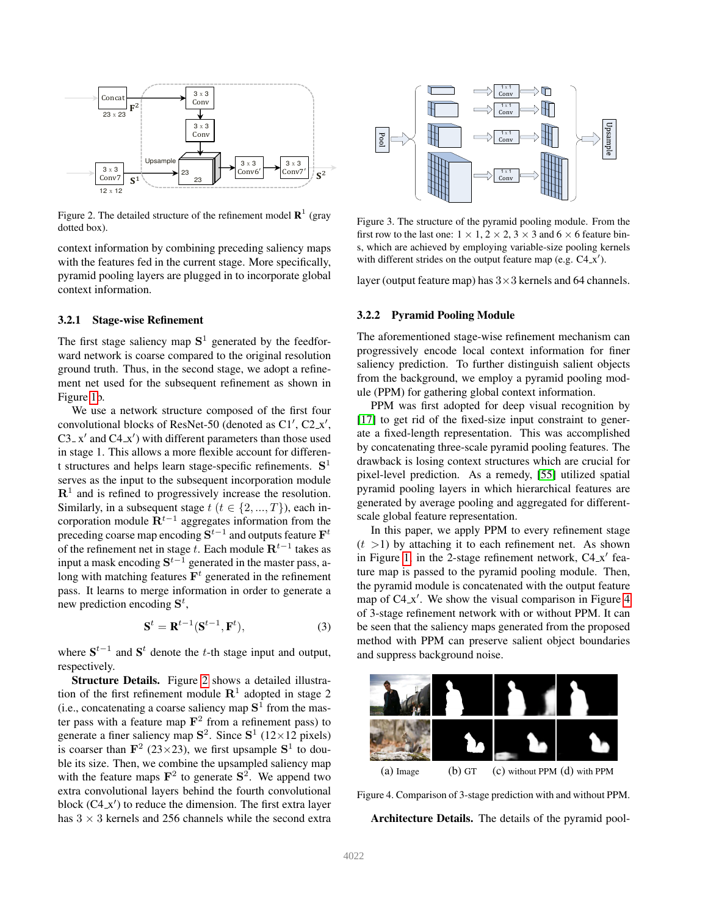

<span id="page-3-0"></span>Figure 2. The detailed structure of the refinement model  $\mathbb{R}^1$  (gray dotted box).

with the features fed in the current stage. More specifically, context information by combining preceding saliency maps pyramid pooling layers are plugged in to incorporate global context information.

#### 3.2.1 Stage-wise Refinement

The first stage saliency map  $S<sup>1</sup>$  generated by the feedforward network is coarse compared to the original resolution ground truth. Thus, in the second stage, we adopt a refinement net used for the subsequent refinement as shown in Figure [1b](#page-1-0).

We use a network structure composed of the first four convolutional blocks of ResNet-50 (denoted as C1', C2\_x', C3<sub>-X</sub>' and C4<sub>-X</sub>') with different parameters than those used in stage 1. This allows a more flexible account for different structures and helps learn stage-specific refinements.  $S<sup>1</sup>$ serves as the input to the subsequent incorporation module  $\mathbb{R}^1$  and is refined to progressively increase the resolution. Similarly, in a subsequent stage  $t$   $(t \in \{2, ..., T\})$ , each incorporation module  $\mathbf{R}^{t-1}$  aggregates information from the preceding coarse map encoding  $S^{t-1}$  and outputs feature  $F^t$ of the refinement net in stage t. Each module  $\mathbf{R}^{t-1}$  takes as input a mask encoding  $S^{t-1}$  generated in the master pass, along with matching features  $F<sup>t</sup>$  generated in the refinement pass. It learns to merge information in order to generate a new prediction encoding  $S^t$ ,

$$
\mathbf{S}^t = \mathbf{R}^{t-1} (\mathbf{S}^{t-1}, \mathbf{F}^t),\tag{3}
$$

where  $S^{t-1}$  and  $S^t$  denote the t-th stage input and output, respectively.

Structure Details. Figure [2](#page-3-0) shows a detailed illustration of the first refinement module  $\mathbb{R}^1$  adopted in stage 2 (i.e., concatenating a coarse saliency map  $S^1$  from the master pass with a feature map  $\mathbf{F}^2$  from a refinement pass) to generate a finer saliency map  $S^2$ . Since  $S^1$  (12×12 pixels) is coarser than  $\mathbf{F}^2$  (23×23), we first upsample  $\mathbf{S}^1$  to double its size. Then, we combine the upsampled saliency map with the feature maps  $\mathbf{F}^2$  to generate  $\mathbf{S}^2$ . We append two extra convolutional layers behind the fourth convolutional block  $(C4.x')$  to reduce the dimension. The first extra layer has  $3 \times 3$  kernels and 256 channels while the second extra



<span id="page-3-2"></span>Figure 3. The structure of the pyramid pooling module. From the first row to the last one:  $1 \times 1$ ,  $2 \times 2$ ,  $3 \times 3$  and  $6 \times 6$  feature bins, which are achieved by employing variable-size pooling kernels with different strides on the output feature map (e.g.  $C4.x'$ ).

layer (output feature map) has  $3 \times 3$  kernels and 64 channels.

#### 3.2.2 Pyramid Pooling Module

The aforementioned stage-wise refinement mechanism can progressively encode local context information for finer saliency prediction. To further distinguish salient objects from the background, we employ a pyramid pooling module (PPM) for gathering global context information.

PPM was first adopted for deep visual recognition by [\[17\]](#page-8-32) to get rid of the fixed-size input constraint to generate a fixed-length representation. This was accomplished by concatenating three-scale pyramid pooling features. The drawback is losing context structures which are crucial for pixel-level prediction. As a remedy, [\[55\]](#page-9-4) utilized spatial pyramid pooling layers in which hierarchical features are generated by average pooling and aggregated for differentscale global feature representation.

In this paper, we apply PPM to every refinement stage  $(t > 1)$  by attaching it to each refinement net. As shown in Figure [1,](#page-1-0) in the 2-stage refinement network,  $C4-x'$  feature map is passed to the pyramid pooling module. Then, the pyramid module is concatenated with the output feature map of C4\_x'. We show the visual comparison in Figure [4](#page-3-1) of 3-stage refinement network with or without PPM. It can be seen that the saliency maps generated from the proposed method with PPM can preserve salient object boundaries and suppress background noise.



Figure 4. Comparison of 3-stage prediction with and without PPM.

<span id="page-3-1"></span>Architecture Details. The details of the pyramid pool-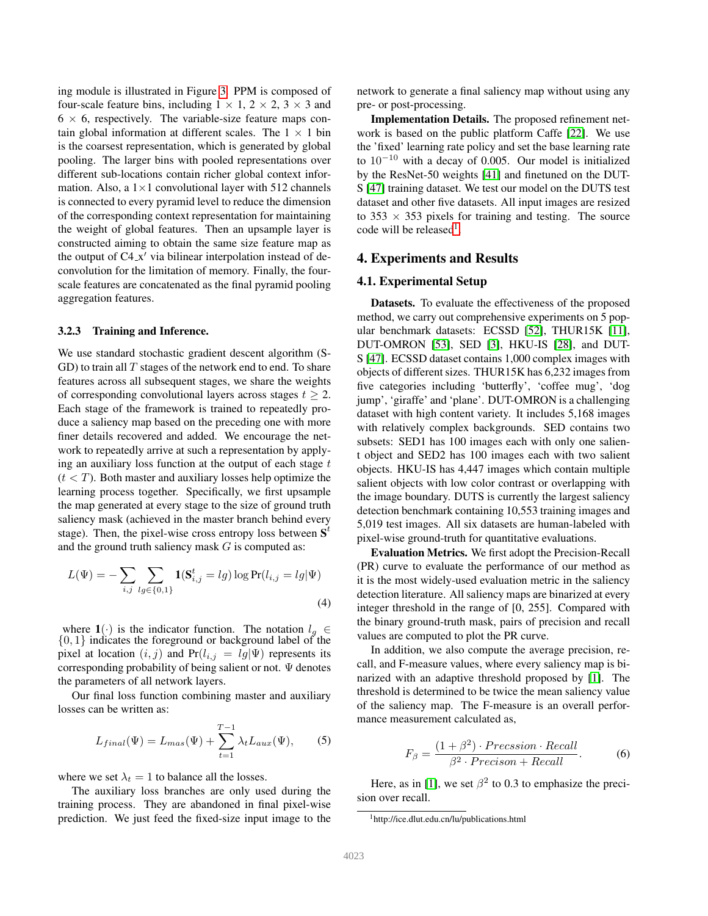ing module is illustrated in Figure [3.](#page-3-2) PPM is composed of four-scale feature bins, including  $1 \times 1$ ,  $2 \times 2$ ,  $3 \times 3$  and  $6 \times 6$ , respectively. The variable-size feature maps contain global information at different scales. The  $1 \times 1$  bin is the coarsest representation, which is generated by global pooling. The larger bins with pooled representations over different sub-locations contain richer global context information. Also, a  $1 \times 1$  convolutional layer with 512 channels is connected to every pyramid level to reduce the dimension of the corresponding context representation for maintaining the weight of global features. Then an upsample layer is constructed aiming to obtain the same size feature map as the output of C4\_x' via bilinear interpolation instead of deconvolution for the limitation of memory. Finally, the fourscale features are concatenated as the final pyramid pooling aggregation features.

#### 3.2.3 Training and Inference.

We use standard stochastic gradient descent algorithm (S-GD) to train all  $T$  stages of the network end to end. To share features across all subsequent stages, we share the weights of corresponding convolutional layers across stages  $t \geq 2$ . Each stage of the framework is trained to repeatedly produce a saliency map based on the preceding one with more finer details recovered and added. We encourage the network to repeatedly arrive at such a representation by applying an auxiliary loss function at the output of each stage  $t$  $(t < T)$ . Both master and auxiliary losses help optimize the learning process together. Specifically, we first upsample the map generated at every stage to the size of ground truth saliency mask (achieved in the master branch behind every stage). Then, the pixel-wise cross entropy loss between  $S<sup>t</sup>$ and the ground truth saliency mask  $G$  is computed as:

$$
L(\Psi) = -\sum_{i,j} \sum_{lg \in \{0,1\}} \mathbf{1}(\mathbf{S}_{i,j}^t = lg) \log \Pr(l_{i,j} = lg | \Psi)
$$
\n(4)

where  $1(\cdot)$  is the indicator function. The notation  $l_g \in$  $\{0, 1\}$  indicates the foreground or background label of the pixel at location  $(i, j)$  and Pr $(l_{i,j} = lg | \Psi)$  represents its corresponding probability of being salient or not.  $\Psi$  denotes the parameters of all network layers.

Our final loss function combining master and auxiliary losses can be written as:

$$
L_{final}(\Psi) = L_{mas}(\Psi) + \sum_{t=1}^{T-1} \lambda_t L_{aux}(\Psi), \qquad (5)
$$

where we set  $\lambda_t = 1$  to balance all the losses.

The auxiliary loss branches are only used during the training process. They are abandoned in final pixel-wise prediction. We just feed the fixed-size input image to the network to generate a final saliency map without using any pre- or post-processing.

Implementation Details. The proposed refinement network is based on the public platform Caffe [\[22\]](#page-8-33). We use the 'fixed' learning rate policy and set the base learning rate to 10−<sup>10</sup> with a decay of 0.005. Our model is initialized by the ResNet-50 weights [\[41\]](#page-8-34) and finetuned on the DUT-S [\[47\]](#page-9-12) training dataset. We test our model on the DUTS test dataset and other five datasets. All input images are resized to 353  $\times$  353 pixels for training and testing. The source code will be released<sup>[1](#page-4-0)</sup>.

#### 4. Experiments and Results

#### 4.1. Experimental Setup

Datasets. To evaluate the effectiveness of the proposed method, we carry out comprehensive experiments on 5 popular benchmark datasets: ECSSD [\[52\]](#page-9-13), THUR15K [\[11\]](#page-8-35), DUT-OMRON [\[53\]](#page-9-7), SED [\[3\]](#page-8-36), HKU-IS [\[28\]](#page-8-10), and DUT-S [\[47\]](#page-9-12). ECSSD dataset contains 1,000 complex images with objects of different sizes. THUR15K has 6,232 images from five categories including 'butterfly', 'coffee mug', 'dog jump', 'giraffe' and 'plane'. DUT-OMRON is a challenging dataset with high content variety. It includes 5,168 images with relatively complex backgrounds. SED contains two subsets: SED1 has 100 images each with only one salient object and SED2 has 100 images each with two salient objects. HKU-IS has 4,447 images which contain multiple salient objects with low color contrast or overlapping with the image boundary. DUTS is currently the largest saliency detection benchmark containing 10,553 training images and 5,019 test images. All six datasets are human-labeled with pixel-wise ground-truth for quantitative evaluations.

Evaluation Metrics. We first adopt the Precision-Recall (PR) curve to evaluate the performance of our method as it is the most widely-used evaluation metric in the saliency detection literature. All saliency maps are binarized at every integer threshold in the range of [0, 255]. Compared with the binary ground-truth mask, pairs of precision and recall values are computed to plot the PR curve.

In addition, we also compute the average precision, recall, and F-measure values, where every saliency map is binarized with an adaptive threshold proposed by [\[1\]](#page-7-0). The threshold is determined to be twice the mean saliency value of the saliency map. The F-measure is an overall performance measurement calculated as,

$$
F_{\beta} = \frac{(1+\beta^2) \cdot Precision \cdot Recall}{\beta^2 \cdot Precision + Recall}.
$$
 (6)

Here, as in [\[1\]](#page-7-0), we set  $\beta^2$  to 0.3 to emphasize the precision over recall.

<span id="page-4-0"></span><sup>1</sup>http://ice.dlut.edu.cn/lu/publications.html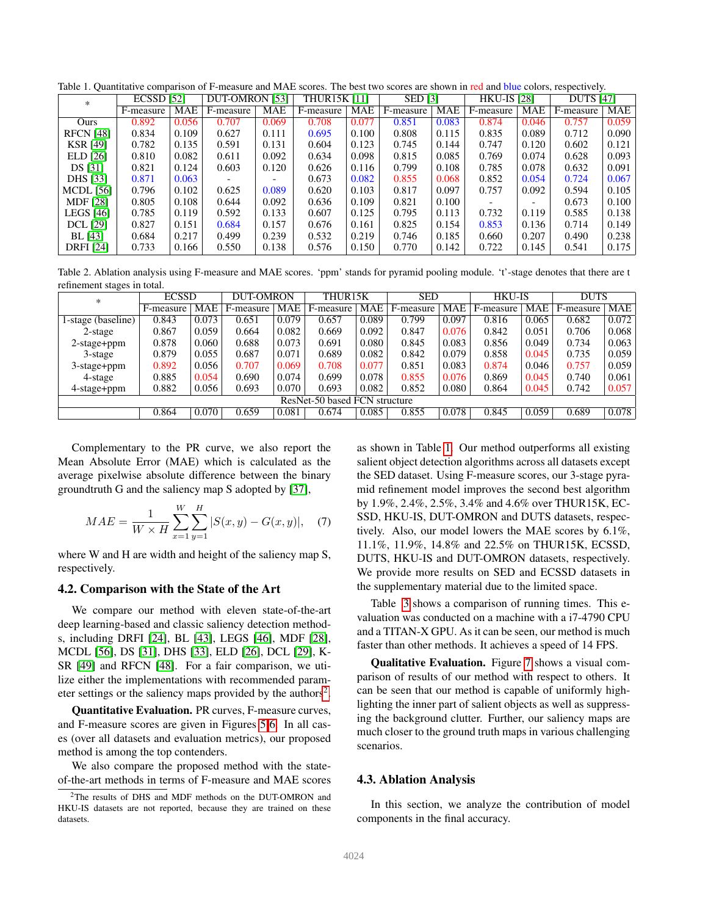<span id="page-5-1"></span>Table 1. Quantitative comparison of F-measure and MAE scores. The best two scores are shown in red and blue colors, respectively.

| $*$              | <b>ECSSD [52]</b> |       | <b>DUT-OMRON</b> [53]    |       | <b>THUR15K [11]</b> |            | <b>SED</b> [3] |            | <b>HKU-IS [28]</b> |            | <b>DUTS [47]</b> |            |
|------------------|-------------------|-------|--------------------------|-------|---------------------|------------|----------------|------------|--------------------|------------|------------------|------------|
|                  | F-measure         | MAE   | F-measure                | MAE   | F-measure           | <b>MAE</b> | F-measure      | <b>MAE</b> | F-measure          | <b>MAE</b> | F-measure        | <b>MAE</b> |
| Ours             | 0.892             | 0.056 | 0.707                    | 0.069 | 0.708               | 0.077      | 0.851          | 0.083      | 0.874              | 0.046      | 0.757            | 0.059      |
| <b>RFCN</b> [48] | 0.834             | 0.109 | 0.627                    | 0.111 | 0.695               | 0.100      | 0.808          | 0.115      | 0.835              | 0.089      | 0.712            | 0.090      |
| <b>KSR [49]</b>  | 0.782             | 0.135 | 0.591                    | 0.131 | 0.604               | 0.123      | 0.745          | 0.144      | 0.747              | 0.120      | 0.602            | 0.121      |
| ELD [26]         | 0.810             | 0.082 | 0.611                    | 0.092 | 0.634               | 0.098      | 0.815          | 0.085      | 0.769              | 0.074      | 0.628            | 0.093      |
| DS [31]          | 0.821             | 0.124 | 0.603                    | 0.120 | 0.626               | 0.116      | 0.799          | 0.108      | 0.785              | 0.078      | 0.632            | 0.091      |
| <b>DHS</b> [33]  | 0.871             | 0.063 | $\overline{\phantom{a}}$ |       | 0.673               | 0.082      | 0.855          | 0.068      | 0.852              | 0.054      | 0.724            | 0.067      |
| <b>MCDL</b> [56] | 0.796             | 0.102 | 0.625                    | 0.089 | 0.620               | 0.103      | 0.817          | 0.097      | 0.757              | 0.092      | 0.594            | 0.105      |
| <b>MDF</b> [28]  | 0.805             | 0.108 | 0.644                    | 0.092 | 0.636               | 0.109      | 0.821          | 0.100      |                    |            | 0.673            | 0.100      |
| <b>LEGS</b> [46] | 0.785             | 0.119 | 0.592                    | 0.133 | 0.607               | 0.125      | 0.795          | 0.113      | 0.732              | 0.119      | 0.585            | 0.138      |
| <b>DCL</b> [29]  | 0.827             | 0.151 | 0.684                    | 0.157 | 0.676               | 0.161      | 0.825          | 0.154      | 0.853              | 0.136      | 0.714            | 0.149      |
| BL [43]          | 0.684             | 0.217 | 0.499                    | 0.239 | 0.532               | 0.219      | 0.746          | 0.185      | 0.660              | 0.207      | 0.490            | 0.238      |
| <b>DRFI</b> [24] | 0.733             | 0.166 | 0.550                    | 0.138 | 0.576               | 0.150      | 0.770          | 0.142      | 0.722              | 0.145      | 0.541            | 0.175      |

<span id="page-5-2"></span>Table 2. Ablation analysis using F-measure and MAE scores. 'ppm' stands for pyramid pooling module. 't'-stage denotes that there are t refinement stages in total.

| $*$                           | <b>ECSSD</b> |            | DUT-OMRON |       | THUR15K   |       | <b>SED</b> |            | <b>HKU-IS</b> |       | <b>DUTS</b> |            |
|-------------------------------|--------------|------------|-----------|-------|-----------|-------|------------|------------|---------------|-------|-------------|------------|
|                               | F-measure    | <b>MAE</b> | F-measure | MAE   | F-measure | MAE   | F-measure  | <b>MAE</b> | F-measure     | MAE   | F-measure   | <b>MAE</b> |
| 1-stage (baseline)            | 0.843        | 0.073      | 0.651     | 0.079 | 0.657     | 0.089 | 0.799      | 0.097      | 0.816         | 0.065 | 0.682       | 0.072      |
| 2-stage                       | 0.867        | 0.059      | 0.664     | 0.082 | 0.669     | 0.092 | 0.847      | 0.076      | 0.842         | 0.051 | 0.706       | 0.068      |
| $2$ -stage+ppm                | 0.878        | 0.060      | 0.688     | 0.073 | 0.691     | 0.080 | 0.845      | 0.083      | 0.856         | 0.049 | 0.734       | 0.063      |
| 3-stage                       | 0.879        | 0.055      | 0.687     | 0.071 | 0.689     | 0.082 | 0.842      | 0.079      | 0.858         | 0.045 | 0.735       | 0.059      |
| 3-stage+ppm                   | 0.892        | 0.056      | 0.707     | 0.069 | 0.708     | 0.077 | 0.851      | 0.083      | 0.874         | 0.046 | 0.757       | 0.059      |
| 4-stage                       | 0.885        | 0.054      | 0.690     | 0.074 | 0.699     | 0.078 | 0.855      | 0.076      | 0.869         | 0.045 | 0.740       | 0.061      |
| 4-stage+ppm                   | 0.882        | 0.056      | 0.693     | 0.070 | 0.693     | 0.082 | 0.852      | 0.080      | 0.864         | 0.045 | 0.742       | 0.057      |
| ResNet-50 based FCN structure |              |            |           |       |           |       |            |            |               |       |             |            |
|                               | 0.864        | 0.070      | 0.659     | 0.081 | 0.674     | 0.085 | 0.855      | 0.078      | 0.845         | 0.059 | 0.689       | 0.078      |

Complementary to the PR curve, we also report the Mean Absolute Error (MAE) which is calculated as the average pixelwise absolute difference between the binary groundtruth G and the saliency map S adopted by [\[37\]](#page-8-39),

$$
MAE = \frac{1}{W \times H} \sum_{x=1}^{W} \sum_{y=1}^{H} |S(x, y) - G(x, y)|, \quad (7)
$$

where W and H are width and height of the saliency map S, respectively.

#### 4.2. Comparison with the State of the Art

We compare our method with eleven state-of-the-art deep learning-based and classic saliency detection methods, including DRFI [\[24\]](#page-8-9), BL [\[43\]](#page-9-15), LEGS [\[46\]](#page-9-8), MDF [\[28\]](#page-8-10), MCDL [\[56\]](#page-9-9), DS [\[31\]](#page-8-38), DHS [\[33\]](#page-8-31), ELD [\[26\]](#page-8-37), DCL [\[29\]](#page-8-29), K-SR [\[49\]](#page-9-14) and RFCN [\[48\]](#page-9-10). For a fair comparison, we utilize either the implementations with recommended param-eter settings or the saliency maps provided by the authors<sup>[2](#page-5-0)</sup>.

Quantitative Evaluation. PR curves, F-measure curves, and F-measure scores are given in Figures [5](#page-6-0) [6.](#page-6-1) In all cases (over all datasets and evaluation metrics), our proposed method is among the top contenders.

We also compare the proposed method with the stateof-the-art methods in terms of F-measure and MAE scores as shown in Table [1.](#page-5-1) Our method outperforms all existing salient object detection algorithms across all datasets except the SED dataset. Using F-measure scores, our 3-stage pyramid refinement model improves the second best algorithm by 1.9%, 2.4%, 2.5%, 3.4% and 4.6% over THUR15K, EC-SSD, HKU-IS, DUT-OMRON and DUTS datasets, respectively. Also, our model lowers the MAE scores by 6.1%, 11.1%, 11.9%, 14.8% and 22.5% on THUR15K, ECSSD, DUTS, HKU-IS and DUT-OMRON datasets, respectively. We provide more results on SED and ECSSD datasets in the supplementary material due to the limited space.

Table [3](#page-7-1) shows a comparison of running times. This evaluation was conducted on a machine with a i7-4790 CPU and a TITAN-X GPU. As it can be seen, our method is much faster than other methods. It achieves a speed of 14 FPS.

Qualitative Evaluation. Figure [7](#page-7-2) shows a visual comparison of results of our method with respect to others. It can be seen that our method is capable of uniformly highlighting the inner part of salient objects as well as suppressing the background clutter. Further, our saliency maps are much closer to the ground truth maps in various challenging scenarios.

#### 4.3. Ablation Analysis

In this section, we analyze the contribution of model components in the final accuracy.

<span id="page-5-0"></span><sup>2</sup>The results of DHS and MDF methods on the DUT-OMRON and HKU-IS datasets are not reported, because they are trained on these datasets.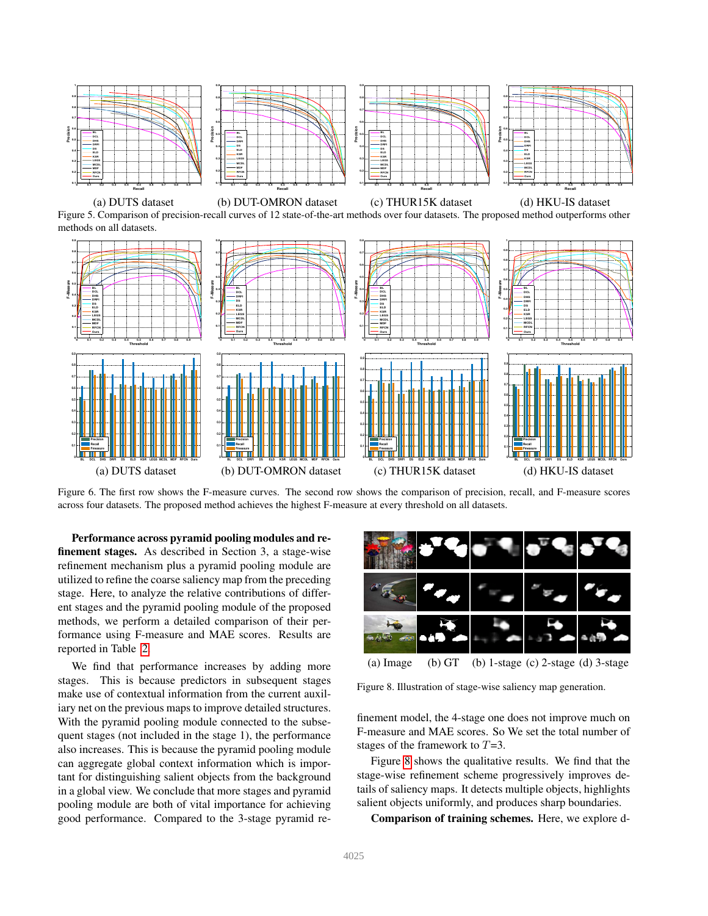

<span id="page-6-0"></span>

<span id="page-6-1"></span>Figure 6. The first row shows the F-measure curves. The second row shows the comparison of precision, recall, and F-measure scores across four datasets. The proposed method achieves the highest F-measure at every threshold on all datasets.

Performance across pyramid pooling modules and refinement stages. As described in Section 3, a stage-wise refinement mechanism plus a pyramid pooling module are utilized to refine the coarse saliency map from the preceding stage. Here, to analyze the relative contributions of different stages and the pyramid pooling module of the proposed methods, we perform a detailed comparison of their performance using F-measure and MAE scores. Results are reported in Table [2.](#page-5-2)

We find that performance increases by adding more stages. This is because predictors in subsequent stages make use of contextual information from the current auxiliary net on the previous maps to improve detailed structures. With the pyramid pooling module connected to the subsequent stages (not included in the stage 1), the performance also increases. This is because the pyramid pooling module can aggregate global context information which is important for distinguishing salient objects from the background in a global view. We conclude that more stages and pyramid pooling module are both of vital importance for achieving good performance. Compared to the 3-stage pyramid re-



<span id="page-6-2"></span>(a) Image (b)  $GT$  (b) 1-stage (c) 2-stage (d) 3-stage

Figure 8. Illustration of stage-wise saliency map generation.

finement model, the 4-stage one does not improve much on F-measure and MAE scores. So We set the total number of stages of the framework to T=3.

Figure [8](#page-6-2) shows the qualitative results. We find that the stage-wise refinement scheme progressively improves details of saliency maps. It detects multiple objects, highlights salient objects uniformly, and produces sharp boundaries.

Comparison of training schemes. Here, we explore d-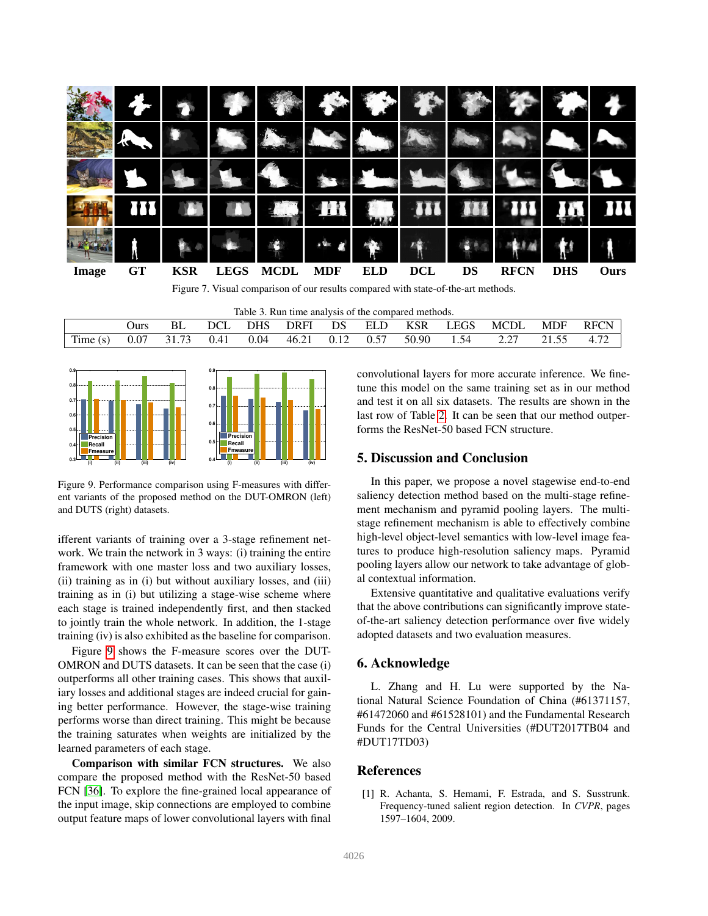

<span id="page-7-2"></span><span id="page-7-1"></span>Figure 7. Visual comparison of our results compared with state-of-the-art methods.

| Table 3.<br>P. Run time analysis of the compared methods. |             |    |      |      |       |      |            |            |             |             |     |             |
|-----------------------------------------------------------|-------------|----|------|------|-------|------|------------|------------|-------------|-------------|-----|-------------|
|                                                           | <b>Durs</b> | BL | DCL  | DHS  | DRFI  | DS   | <b>ELD</b> | <b>KSR</b> | <b>LEGS</b> | <b>MCDL</b> | MDF | <b>RFCN</b> |
| Time(s)                                                   | 0.07        |    | 0.41 | 0.04 | 46.21 | 0.12 | 0.57       | 50.90      | .54         |             |     | 72<br>4.12  |



<span id="page-7-3"></span>Figure 9. Performance comparison using F-measures with different variants of the proposed method on the DUT-OMRON (left) and DUTS (right) datasets.

ifferent variants of training over a 3-stage refinement network. We train the network in 3 ways: (i) training the entire framework with one master loss and two auxiliary losses, (ii) training as in (i) but without auxiliary losses, and (iii) training as in (i) but utilizing a stage-wise scheme where each stage is trained independently first, and then stacked to jointly train the whole network. In addition, the 1-stage training (iv) is also exhibited as the baseline for comparison.

Figure [9](#page-7-3) shows the F-measure scores over the DUT-OMRON and DUTS datasets. It can be seen that the case (i) outperforms all other training cases. This shows that auxiliary losses and additional stages are indeed crucial for gaining better performance. However, the stage-wise training performs worse than direct training. This might be because the training saturates when weights are initialized by the learned parameters of each stage.

Comparison with similar FCN structures. We also compare the proposed method with the ResNet-50 based FCN [\[36\]](#page-8-19). To explore the fine-grained local appearance of the input image, skip connections are employed to combine output feature maps of lower convolutional layers with final

convolutional layers for more accurate inference. We finetune this model on the same training set as in our method and test it on all six datasets. The results are shown in the last row of Table [2.](#page-5-2) It can be seen that our method outperforms the ResNet-50 based FCN structure.

# 5. Discussion and Conclusion

In this paper, we propose a novel stagewise end-to-end saliency detection method based on the multi-stage refinement mechanism and pyramid pooling layers. The multistage refinement mechanism is able to effectively combine high-level object-level semantics with low-level image features to produce high-resolution saliency maps. Pyramid pooling layers allow our network to take advantage of global contextual information.

Extensive quantitative and qualitative evaluations verify that the above contributions can significantly improve stateof-the-art saliency detection performance over five widely adopted datasets and two evaluation measures.

### 6. Acknowledge

L. Zhang and H. Lu were supported by the National Natural Science Foundation of China (#61371157, #61472060 and #61528101) and the Fundamental Research Funds for the Central Universities (#DUT2017TB04 and #DUT17TD03)

### References

<span id="page-7-0"></span>[1] R. Achanta, S. Hemami, F. Estrada, and S. Susstrunk. Frequency-tuned salient region detection. In *CVPR*, pages 1597–1604, 2009.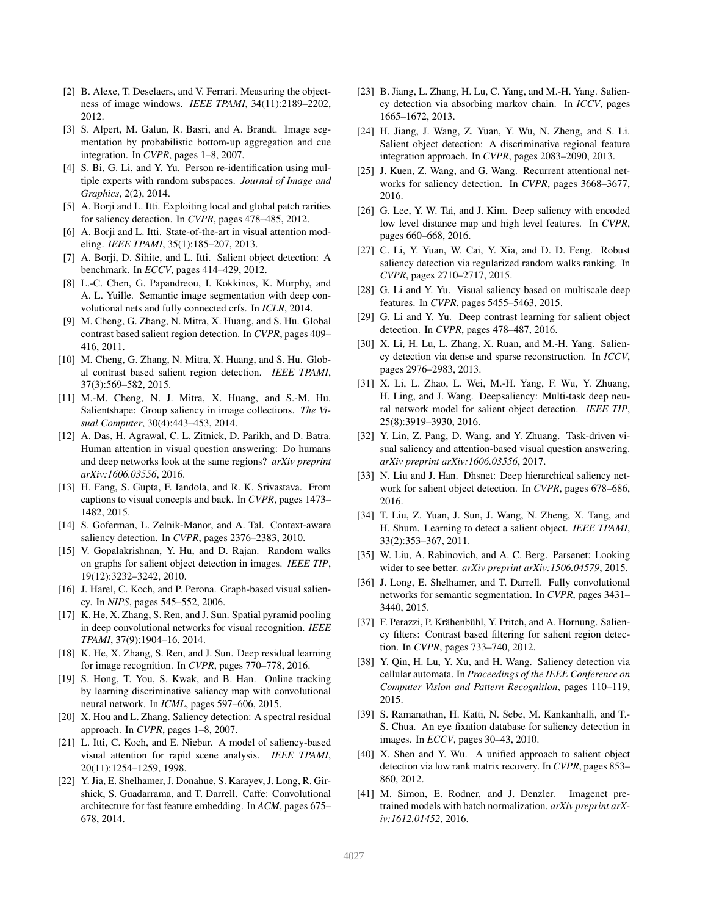- <span id="page-8-17"></span>[2] B. Alexe, T. Deselaers, and V. Ferrari. Measuring the objectness of image windows. *IEEE TPAMI*, 34(11):2189–2202, 2012.
- <span id="page-8-36"></span>[3] S. Alpert, M. Galun, R. Basri, and A. Brandt. Image segmentation by probabilistic bottom-up aggregation and cue integration. In *CVPR*, pages 1–8, 2007.
- <span id="page-8-13"></span>[4] S. Bi, G. Li, and Y. Yu. Person re-identification using multiple experts with random subspaces. *Journal of Image and Graphics*, 2(2), 2014.
- <span id="page-8-3"></span>[5] A. Borji and L. Itti. Exploiting local and global patch rarities for saliency detection. In *CVPR*, pages 478–485, 2012.
- <span id="page-8-4"></span>[6] A. Borji and L. Itti. State-of-the-art in visual attention modeling. *IEEE TPAMI*, 35(1):185–207, 2013.
- <span id="page-8-11"></span>[7] A. Borji, D. Sihite, and L. Itti. Salient object detection: A benchmark. In *ECCV*, pages 414–429, 2012.
- <span id="page-8-18"></span>[8] L.-C. Chen, G. Papandreou, I. Kokkinos, K. Murphy, and A. L. Yuille. Semantic image segmentation with deep convolutional nets and fully connected crfs. In *ICLR*, 2014.
- <span id="page-8-7"></span>[9] M. Cheng, G. Zhang, N. Mitra, X. Huang, and S. Hu. Global contrast based salient region detection. In *CVPR*, pages 409– 416, 2011.
- <span id="page-8-21"></span>[10] M. Cheng, G. Zhang, N. Mitra, X. Huang, and S. Hu. Global contrast based salient region detection. *IEEE TPAMI*, 37(3):569–582, 2015.
- <span id="page-8-35"></span>[11] M.-M. Cheng, N. J. Mitra, X. Huang, and S.-M. Hu. Salientshape: Group saliency in image collections. *The Visual Computer*, 30(4):443–453, 2014.
- <span id="page-8-15"></span>[12] A. Das, H. Agrawal, C. L. Zitnick, D. Parikh, and D. Batra. Human attention in visual question answering: Do humans and deep networks look at the same regions? *arXiv preprint arXiv:1606.03556*, 2016.
- <span id="page-8-14"></span>[13] H. Fang, S. Gupta, F. Iandola, and R. K. Srivastava. From captions to visual concepts and back. In *CVPR*, pages 1473– 1482, 2015.
- <span id="page-8-6"></span>[14] S. Goferman, L. Zelnik-Manor, and A. Tal. Context-aware saliency detection. In *CVPR*, pages 2376–2383, 2010.
- <span id="page-8-24"></span>[15] V. Gopalakrishnan, Y. Hu, and D. Rajan. Random walks on graphs for salient object detection in images. *IEEE TIP*, 19(12):3232–3242, 2010.
- <span id="page-8-23"></span>[16] J. Harel, C. Koch, and P. Perona. Graph-based visual saliency. In *NIPS*, pages 545–552, 2006.
- <span id="page-8-32"></span>[17] K. He, X. Zhang, S. Ren, and J. Sun. Spatial pyramid pooling in deep convolutional networks for visual recognition. *IEEE TPAMI*, 37(9):1904–16, 2014.
- <span id="page-8-28"></span>[18] K. He, X. Zhang, S. Ren, and J. Sun. Deep residual learning for image recognition. In *CVPR*, pages 770–778, 2016.
- <span id="page-8-12"></span>[19] S. Hong, T. You, S. Kwak, and B. Han. Online tracking by learning discriminative saliency map with convolutional neural network. In *ICML*, pages 597–606, 2015.
- <span id="page-8-1"></span>[20] X. Hou and L. Zhang. Saliency detection: A spectral residual approach. In *CVPR*, pages 1–8, 2007.
- <span id="page-8-0"></span>[21] L. Itti, C. Koch, and E. Niebur. A model of saliency-based visual attention for rapid scene analysis. *IEEE TPAMI*, 20(11):1254–1259, 1998.
- <span id="page-8-33"></span>[22] Y. Jia, E. Shelhamer, J. Donahue, S. Karayev, J. Long, R. Girshick, S. Guadarrama, and T. Darrell. Caffe: Convolutional architecture for fast feature embedding. In *ACM*, pages 675– 678, 2014.
- <span id="page-8-25"></span>[23] B. Jiang, L. Zhang, H. Lu, C. Yang, and M.-H. Yang. Saliency detection via absorbing markov chain. In *ICCV*, pages 1665–1672, 2013.
- <span id="page-8-9"></span>[24] H. Jiang, J. Wang, Z. Yuan, Y. Wu, N. Zheng, and S. Li. Salient object detection: A discriminative regional feature integration approach. In *CVPR*, pages 2083–2090, 2013.
- <span id="page-8-30"></span>[25] J. Kuen, Z. Wang, and G. Wang. Recurrent attentional networks for saliency detection. In *CVPR*, pages 3668–3677, 2016.
- <span id="page-8-37"></span>[26] G. Lee, Y. W. Tai, and J. Kim. Deep saliency with encoded low level distance map and high level features. In *CVPR*, pages 660–668, 2016.
- <span id="page-8-26"></span>[27] C. Li, Y. Yuan, W. Cai, Y. Xia, and D. D. Feng. Robust saliency detection via regularized random walks ranking. In *CVPR*, pages 2710–2717, 2015.
- <span id="page-8-10"></span>[28] G. Li and Y. Yu. Visual saliency based on multiscale deep features. In *CVPR*, pages 5455–5463, 2015.
- <span id="page-8-29"></span>[29] G. Li and Y. Yu. Deep contrast learning for salient object detection. In *CVPR*, pages 478–487, 2016.
- <span id="page-8-22"></span>[30] X. Li, H. Lu, L. Zhang, X. Ruan, and M.-H. Yang. Saliency detection via dense and sparse reconstruction. In *ICCV*, pages 2976–2983, 2013.
- <span id="page-8-38"></span>[31] X. Li, L. Zhao, L. Wei, M.-H. Yang, F. Wu, Y. Zhuang, H. Ling, and J. Wang. Deepsaliency: Multi-task deep neural network model for salient object detection. *IEEE TIP*, 25(8):3919–3930, 2016.
- <span id="page-8-16"></span>[32] Y. Lin, Z. Pang, D. Wang, and Y. Zhuang. Task-driven visual saliency and attention-based visual question answering. *arXiv preprint arXiv:1606.03556*, 2017.
- <span id="page-8-31"></span>[33] N. Liu and J. Han. Dhsnet: Deep hierarchical saliency network for salient object detection. In *CVPR*, pages 678–686, 2016.
- <span id="page-8-5"></span>[34] T. Liu, Z. Yuan, J. Sun, J. Wang, N. Zheng, X. Tang, and H. Shum. Learning to detect a salient object. *IEEE TPAMI*, 33(2):353–367, 2011.
- <span id="page-8-20"></span>[35] W. Liu, A. Rabinovich, and A. C. Berg. Parsenet: Looking wider to see better. *arXiv preprint arXiv:1506.04579*, 2015.
- <span id="page-8-19"></span>[36] J. Long, E. Shelhamer, and T. Darrell. Fully convolutional networks for semantic segmentation. In *CVPR*, pages 3431– 3440, 2015.
- <span id="page-8-39"></span>[37] F. Perazzi, P. Krähenbühl, Y. Pritch, and A. Hornung. Saliency filters: Contrast based filtering for salient region detection. In *CVPR*, pages 733–740, 2012.
- <span id="page-8-27"></span>[38] Y. Qin, H. Lu, Y. Xu, and H. Wang. Saliency detection via cellular automata. In *Proceedings of the IEEE Conference on Computer Vision and Pattern Recognition*, pages 110–119, 2015.
- <span id="page-8-2"></span>[39] S. Ramanathan, H. Katti, N. Sebe, M. Kankanhalli, and T.- S. Chua. An eye fixation database for saliency detection in images. In *ECCV*, pages 30–43, 2010.
- <span id="page-8-8"></span>[40] X. Shen and Y. Wu. A unified approach to salient object detection via low rank matrix recovery. In *CVPR*, pages 853– 860, 2012.
- <span id="page-8-34"></span>[41] M. Simon, E. Rodner, and J. Denzler. Imagenet pretrained models with batch normalization. *arXiv preprint arXiv:1612.01452*, 2016.